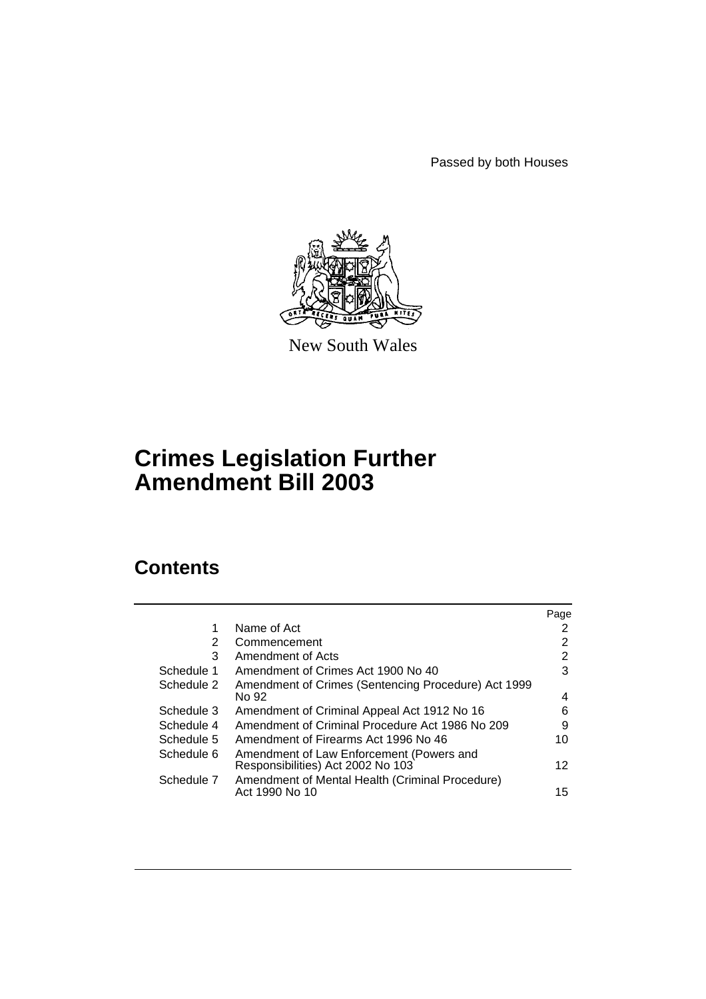Passed by both Houses



New South Wales

# **Crimes Legislation Further Amendment Bill 2003**

## **Contents**

|            |                                                                               | Page            |
|------------|-------------------------------------------------------------------------------|-----------------|
| 1          | Name of Act                                                                   | 2               |
| 2          | Commencement                                                                  | 2               |
| 3          | Amendment of Acts                                                             | $\overline{2}$  |
| Schedule 1 | Amendment of Crimes Act 1900 No 40                                            | 3               |
| Schedule 2 | Amendment of Crimes (Sentencing Procedure) Act 1999<br>No 92                  | 4               |
| Schedule 3 | Amendment of Criminal Appeal Act 1912 No 16                                   | 6               |
| Schedule 4 | Amendment of Criminal Procedure Act 1986 No 209                               | 9               |
| Schedule 5 | Amendment of Firearms Act 1996 No 46                                          | 10              |
| Schedule 6 | Amendment of Law Enforcement (Powers and<br>Responsibilities) Act 2002 No 103 | 12 <sup>°</sup> |
| Schedule 7 | Amendment of Mental Health (Criminal Procedure)<br>Act 1990 No 10             | 15              |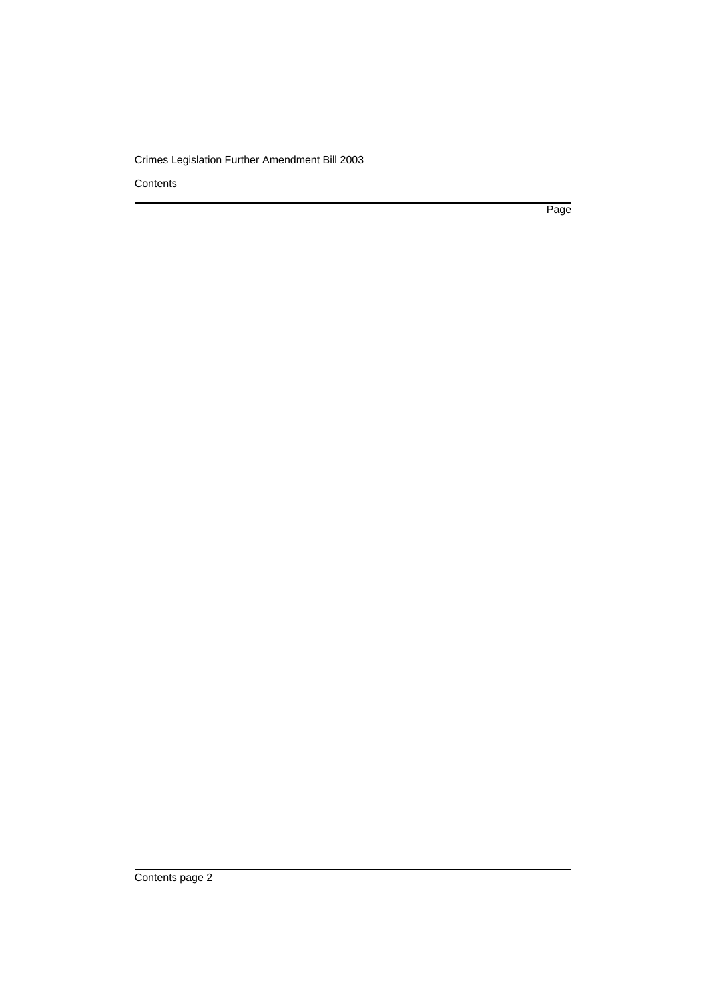**Contents** 

Page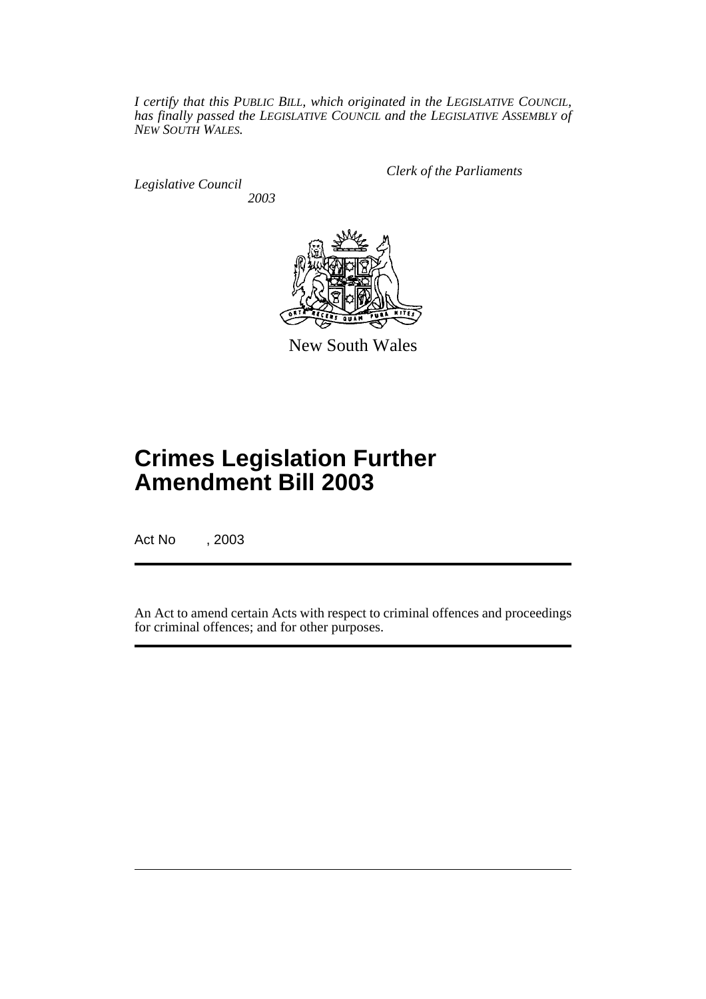*I certify that this PUBLIC BILL, which originated in the LEGISLATIVE COUNCIL, has finally passed the LEGISLATIVE COUNCIL and the LEGISLATIVE ASSEMBLY of NEW SOUTH WALES.*

*Legislative Council 2003* *Clerk of the Parliaments*



New South Wales

# **Crimes Legislation Further Amendment Bill 2003**

Act No , 2003

An Act to amend certain Acts with respect to criminal offences and proceedings for criminal offences; and for other purposes.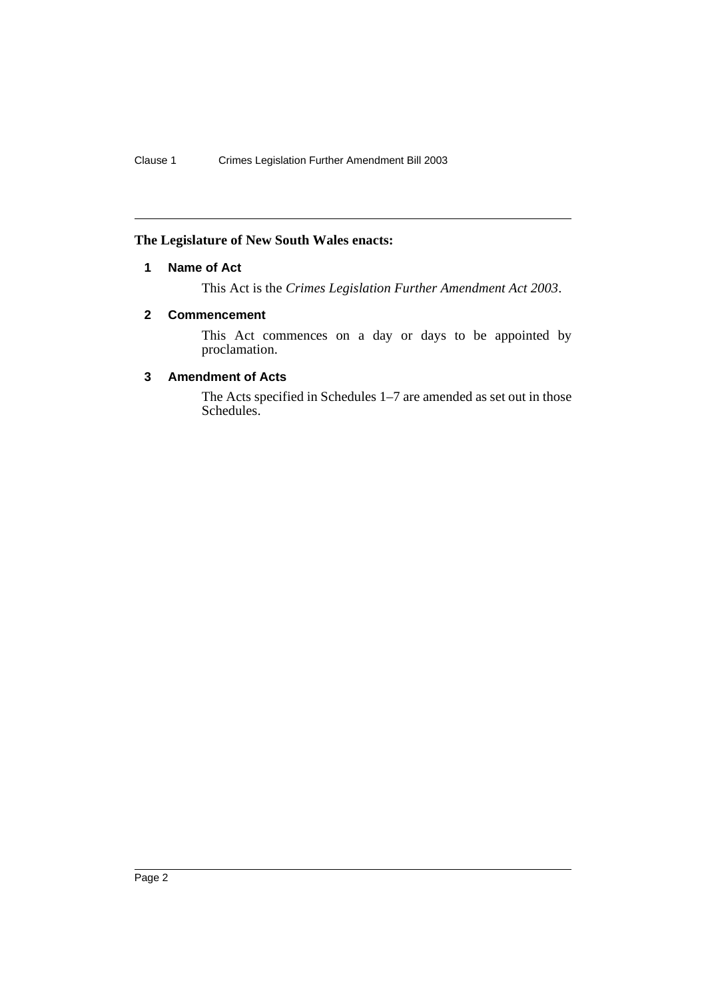#### **The Legislature of New South Wales enacts:**

### **1 Name of Act**

This Act is the *Crimes Legislation Further Amendment Act 2003*.

#### **2 Commencement**

This Act commences on a day or days to be appointed by proclamation.

#### **3 Amendment of Acts**

The Acts specified in Schedules 1–7 are amended as set out in those Schedules.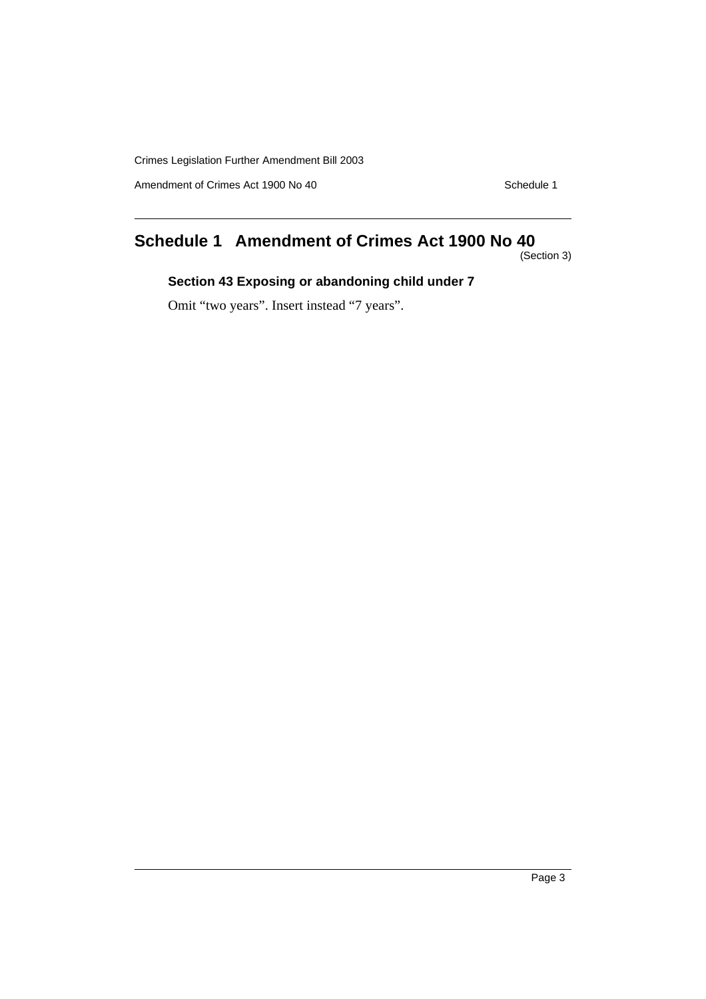Amendment of Crimes Act 1900 No 40 Schedule 1

## **Schedule 1 Amendment of Crimes Act 1900 No 40**

(Section 3)

## **Section 43 Exposing or abandoning child under 7**

Omit "two years". Insert instead "7 years".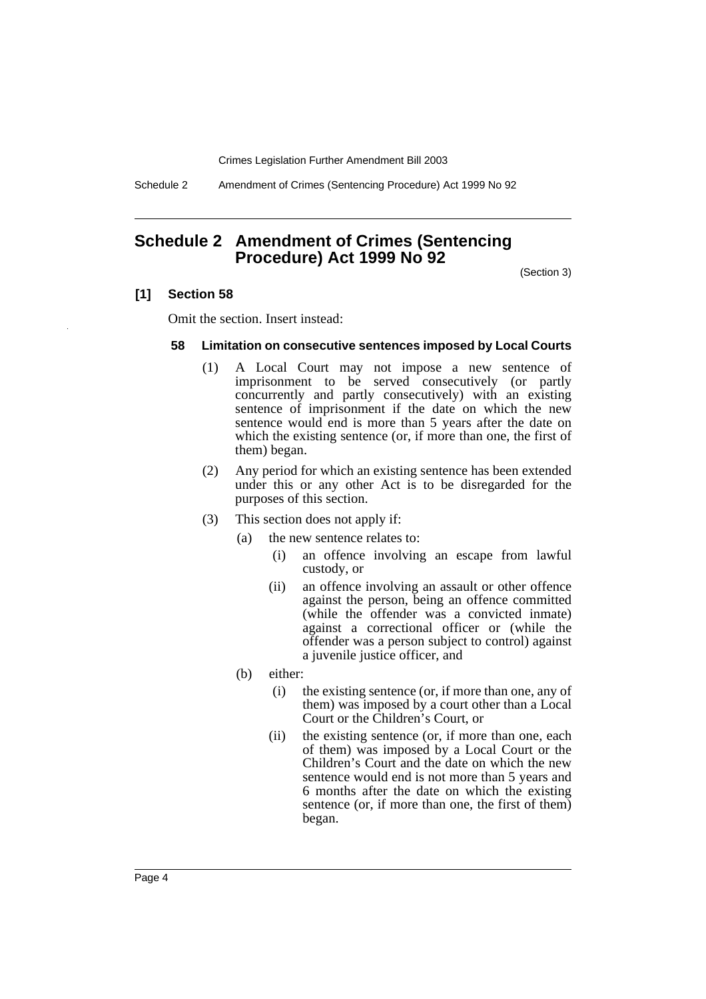Schedule 2 Amendment of Crimes (Sentencing Procedure) Act 1999 No 92

## **Schedule 2 Amendment of Crimes (Sentencing Procedure) Act 1999 No 92**

(Section 3)

#### **[1] Section 58**

Omit the section. Insert instead:

#### **58 Limitation on consecutive sentences imposed by Local Courts**

- (1) A Local Court may not impose a new sentence of imprisonment to be served consecutively (or partly concurrently and partly consecutively) with an existing sentence of imprisonment if the date on which the new sentence would end is more than 5 years after the date on which the existing sentence (or, if more than one, the first of them) began.
- (2) Any period for which an existing sentence has been extended under this or any other Act is to be disregarded for the purposes of this section.
- (3) This section does not apply if:
	- (a) the new sentence relates to:
		- (i) an offence involving an escape from lawful custody, or
		- (ii) an offence involving an assault or other offence against the person, being an offence committed (while the offender was a convicted inmate) against a correctional officer or (while the offender was a person subject to control) against a juvenile justice officer, and
	- (b) either:
		- (i) the existing sentence (or, if more than one, any of them) was imposed by a court other than a Local Court or the Children's Court, or
		- (ii) the existing sentence (or, if more than one, each of them) was imposed by a Local Court or the Children's Court and the date on which the new sentence would end is not more than 5 years and 6 months after the date on which the existing sentence (or, if more than one, the first of them) began.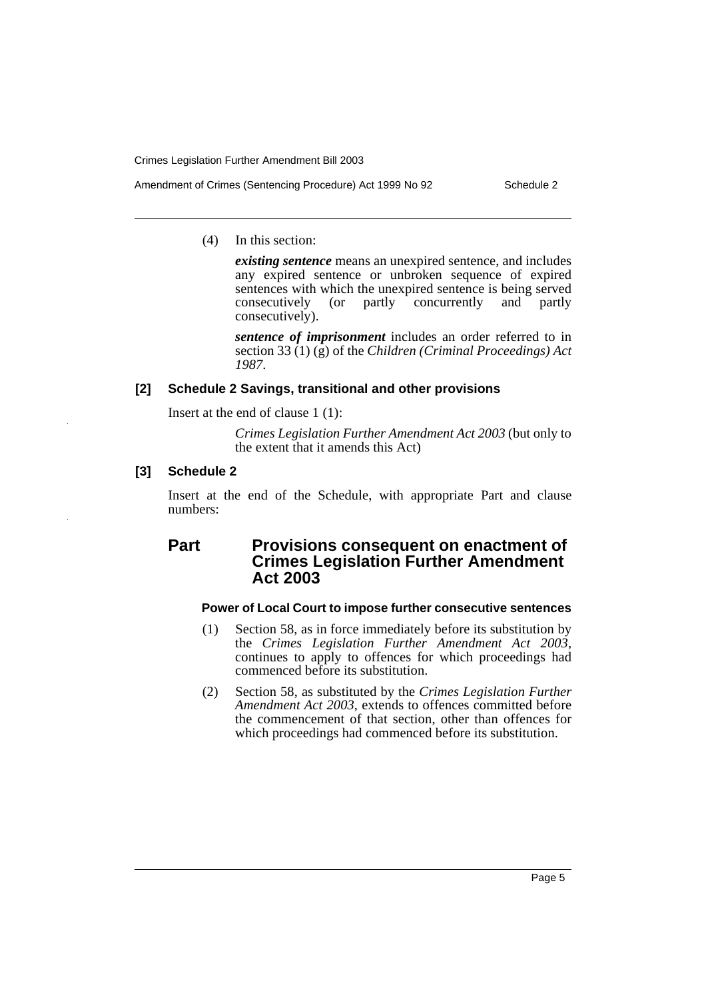- Amendment of Crimes (Sentencing Procedure) Act 1999 No 92 Schedule 2
	- (4) In this section:

*existing sentence* means an unexpired sentence, and includes any expired sentence or unbroken sequence of expired sentences with which the unexpired sentence is being served consecutively (or partly concurrently and partly consecutively).

*sentence of imprisonment* includes an order referred to in section 33 (1) (g) of the *Children (Criminal Proceedings) Act 1987*.

#### **[2] Schedule 2 Savings, transitional and other provisions**

Insert at the end of clause 1 (1):

*Crimes Legislation Further Amendment Act 2003* (but only to the extent that it amends this Act)

#### **[3] Schedule 2**

Insert at the end of the Schedule, with appropriate Part and clause numbers:

## **Part Provisions consequent on enactment of Crimes Legislation Further Amendment Act 2003**

#### **Power of Local Court to impose further consecutive sentences**

- (1) Section 58, as in force immediately before its substitution by the *Crimes Legislation Further Amendment Act 2003*, continues to apply to offences for which proceedings had commenced before its substitution.
- (2) Section 58, as substituted by the *Crimes Legislation Further Amendment Act 2003*, extends to offences committed before the commencement of that section, other than offences for which proceedings had commenced before its substitution.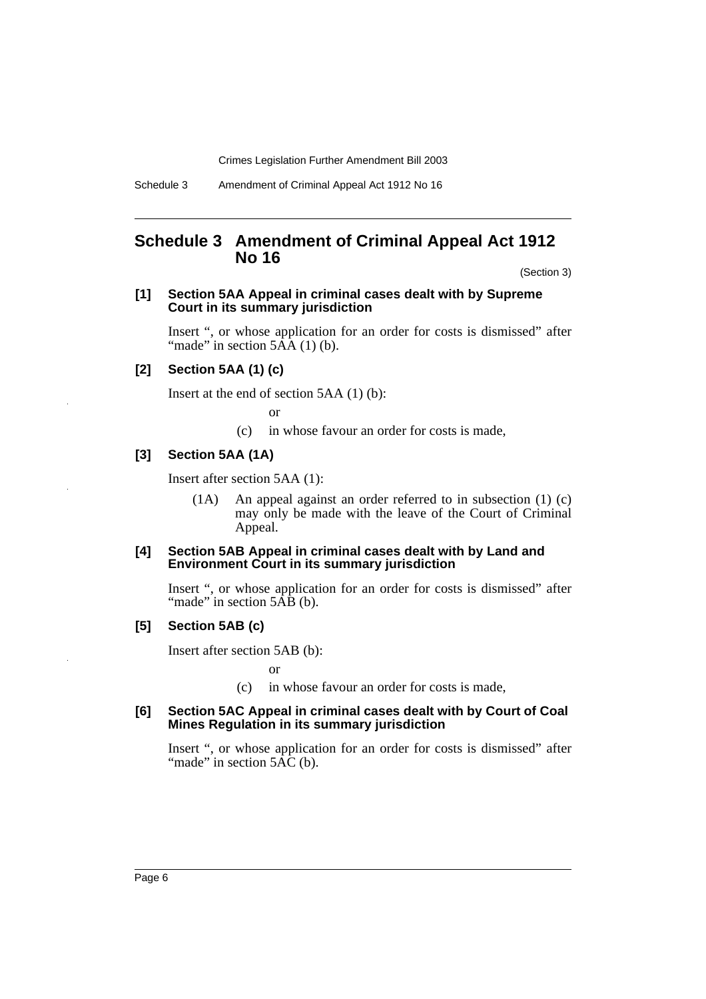### **Schedule 3 Amendment of Criminal Appeal Act 1912 No 16**

(Section 3)

#### **[1] Section 5AA Appeal in criminal cases dealt with by Supreme Court in its summary jurisdiction**

Insert ", or whose application for an order for costs is dismissed" after "made" in section  $5\overline{AA}$  (1) (b).

#### **[2] Section 5AA (1) (c)**

Insert at the end of section 5AA (1) (b):

or

(c) in whose favour an order for costs is made,

#### **[3] Section 5AA (1A)**

Insert after section 5AA (1):

(1A) An appeal against an order referred to in subsection (1) (c) may only be made with the leave of the Court of Criminal Appeal.

#### **[4] Section 5AB Appeal in criminal cases dealt with by Land and Environment Court in its summary jurisdiction**

Insert ", or whose application for an order for costs is dismissed" after "made" in section 5AB (b).

#### **[5] Section 5AB (c)**

Insert after section 5AB (b):

or

(c) in whose favour an order for costs is made,

#### **[6] Section 5AC Appeal in criminal cases dealt with by Court of Coal Mines Regulation in its summary jurisdiction**

Insert ", or whose application for an order for costs is dismissed" after "made" in section  $5\text{\AA}\text{\AA}$  (b).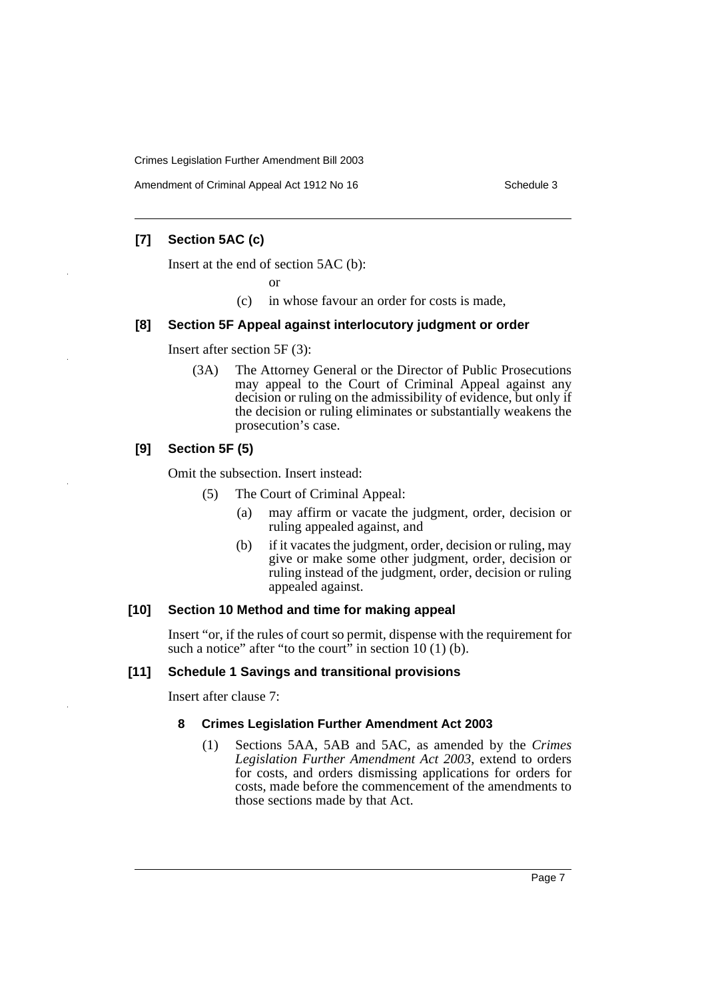Amendment of Criminal Appeal Act 1912 No 16 Schedule 3 Schedule 3

### **[7] Section 5AC (c)**

Insert at the end of section 5AC (b):

or

(c) in whose favour an order for costs is made,

#### **[8] Section 5F Appeal against interlocutory judgment or order**

Insert after section 5F (3):

(3A) The Attorney General or the Director of Public Prosecutions may appeal to the Court of Criminal Appeal against any decision or ruling on the admissibility of evidence, but only if the decision or ruling eliminates or substantially weakens the prosecution's case.

#### **[9] Section 5F (5)**

Omit the subsection. Insert instead:

- (5) The Court of Criminal Appeal:
	- (a) may affirm or vacate the judgment, order, decision or ruling appealed against, and
	- (b) if it vacates the judgment, order, decision or ruling, may give or make some other judgment, order, decision or ruling instead of the judgment, order, decision or ruling appealed against.

#### **[10] Section 10 Method and time for making appeal**

Insert "or, if the rules of court so permit, dispense with the requirement for such a notice" after "to the court" in section  $10(1)$  (b).

#### **[11] Schedule 1 Savings and transitional provisions**

Insert after clause 7:

#### **8 Crimes Legislation Further Amendment Act 2003**

(1) Sections 5AA, 5AB and 5AC, as amended by the *Crimes Legislation Further Amendment Act 2003*, extend to orders for costs, and orders dismissing applications for orders for costs, made before the commencement of the amendments to those sections made by that Act.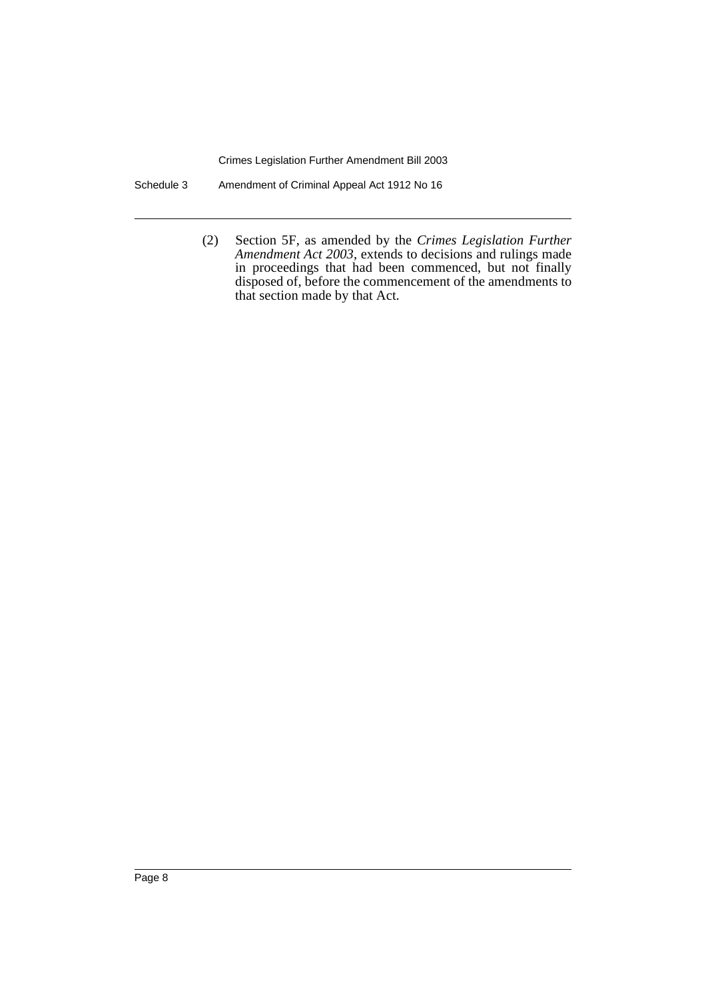Schedule 3 Amendment of Criminal Appeal Act 1912 No 16

(2) Section 5F, as amended by the *Crimes Legislation Further Amendment Act 2003*, extends to decisions and rulings made in proceedings that had been commenced, but not finally disposed of, before the commencement of the amendments to that section made by that Act.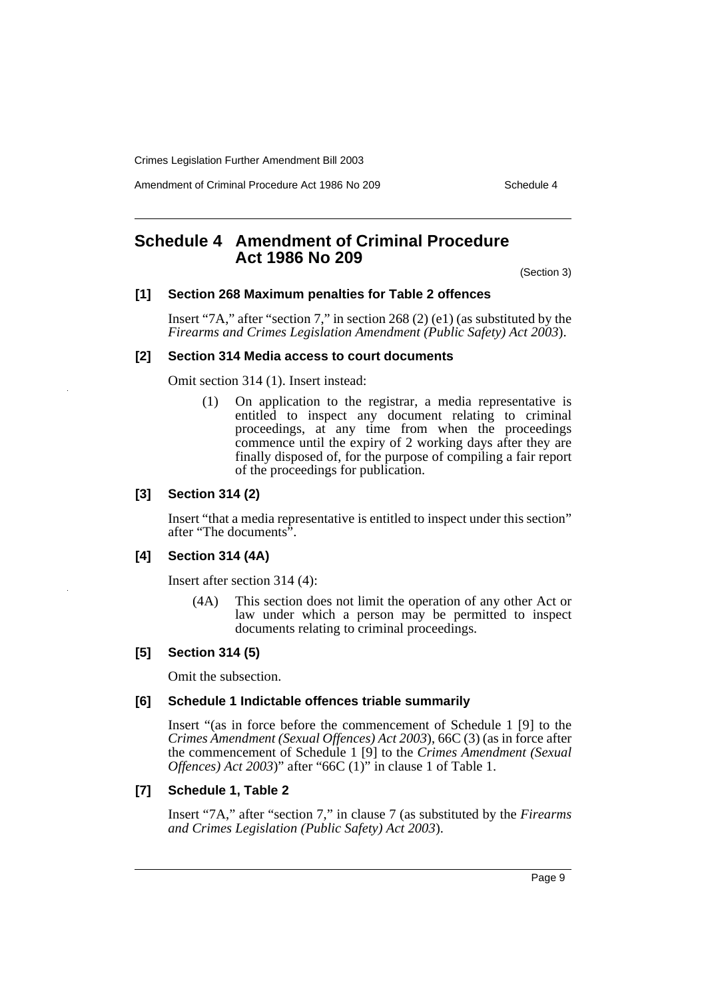Amendment of Criminal Procedure Act 1986 No 209 Schedule 4

## **Schedule 4 Amendment of Criminal Procedure Act 1986 No 209**

(Section 3)

#### **[1] Section 268 Maximum penalties for Table 2 offences**

Insert "7A," after "section 7," in section 268 (2) (e1) (as substituted by the *Firearms and Crimes Legislation Amendment (Public Safety) Act 2003*).

#### **[2] Section 314 Media access to court documents**

Omit section 314 (1). Insert instead:

(1) On application to the registrar, a media representative is entitled to inspect any document relating to criminal proceedings, at any time from when the proceedings commence until the expiry of 2 working days after they are finally disposed of, for the purpose of compiling a fair report of the proceedings for publication.

#### **[3] Section 314 (2)**

Insert "that a media representative is entitled to inspect under this section" after "The documents".

#### **[4] Section 314 (4A)**

Insert after section 314 (4):

(4A) This section does not limit the operation of any other Act or law under which a person may be permitted to inspect documents relating to criminal proceedings.

#### **[5] Section 314 (5)**

Omit the subsection.

#### **[6] Schedule 1 Indictable offences triable summarily**

Insert "(as in force before the commencement of Schedule 1 [9] to the *Crimes Amendment (Sexual Offences) Act 2003*), 66C (3) (as in force after the commencement of Schedule 1 [9] to the *Crimes Amendment (Sexual Offences) Act 2003*)" after "66C (1)" in clause 1 of Table 1.

#### **[7] Schedule 1, Table 2**

Insert "7A," after "section 7," in clause 7 (as substituted by the *Firearms and Crimes Legislation (Public Safety) Act 2003*).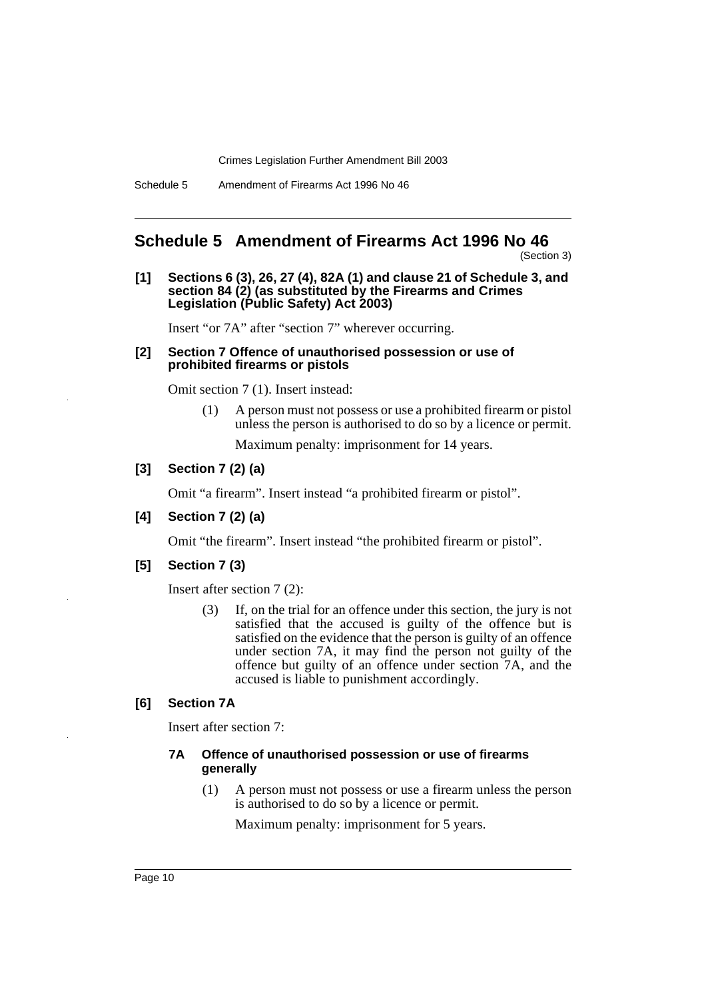Schedule 5 Amendment of Firearms Act 1996 No 46

## **Schedule 5 Amendment of Firearms Act 1996 No 46**

(Section 3)

**[1] Sections 6 (3), 26, 27 (4), 82A (1) and clause 21 of Schedule 3, and section 84 (2) (as substituted by the Firearms and Crimes Legislation (Public Safety) Act 2003)**

Insert "or 7A" after "section 7" wherever occurring.

#### **[2] Section 7 Offence of unauthorised possession or use of prohibited firearms or pistols**

Omit section 7 (1). Insert instead:

(1) A person must not possess or use a prohibited firearm or pistol unless the person is authorised to do so by a licence or permit.

Maximum penalty: imprisonment for 14 years.

#### **[3] Section 7 (2) (a)**

Omit "a firearm". Insert instead "a prohibited firearm or pistol".

#### **[4] Section 7 (2) (a)**

Omit "the firearm". Insert instead "the prohibited firearm or pistol".

#### **[5] Section 7 (3)**

Insert after section 7 (2):

(3) If, on the trial for an offence under this section, the jury is not satisfied that the accused is guilty of the offence but is satisfied on the evidence that the person is guilty of an offence under section 7A, it may find the person not guilty of the offence but guilty of an offence under section 7A, and the accused is liable to punishment accordingly.

#### **[6] Section 7A**

Insert after section 7:

#### **7A Offence of unauthorised possession or use of firearms generally**

(1) A person must not possess or use a firearm unless the person is authorised to do so by a licence or permit.

Maximum penalty: imprisonment for 5 years.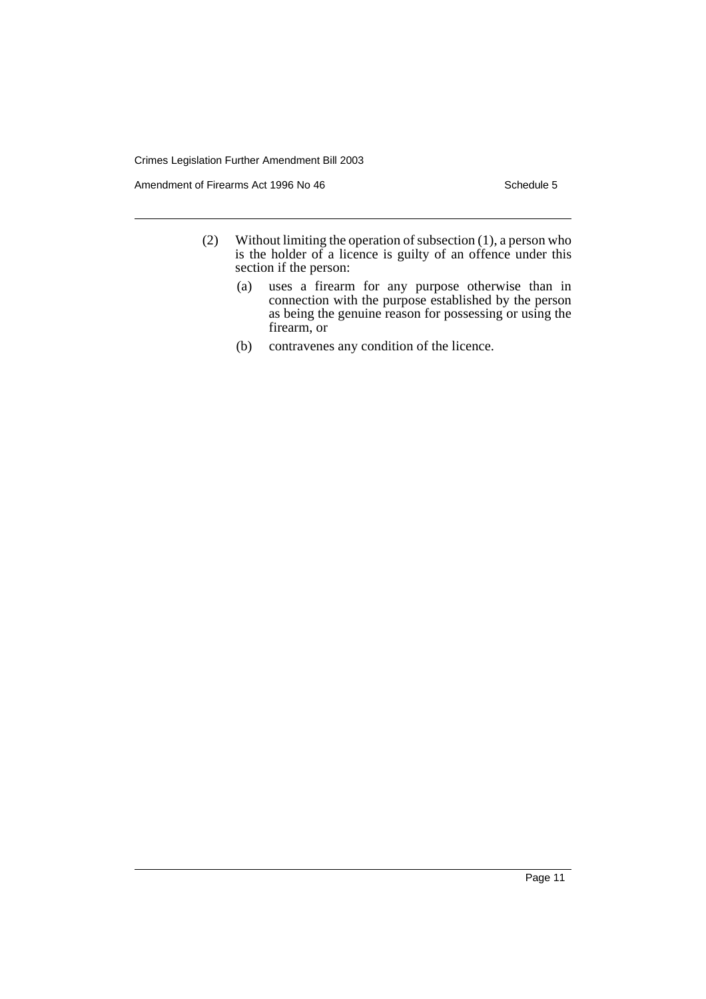Amendment of Firearms Act 1996 No 46 Schedule 5

- (2) Without limiting the operation of subsection (1), a person who is the holder of a licence is guilty of an offence under this section if the person:
	- (a) uses a firearm for any purpose otherwise than in connection with the purpose established by the person as being the genuine reason for possessing or using the firearm, or
	- (b) contravenes any condition of the licence.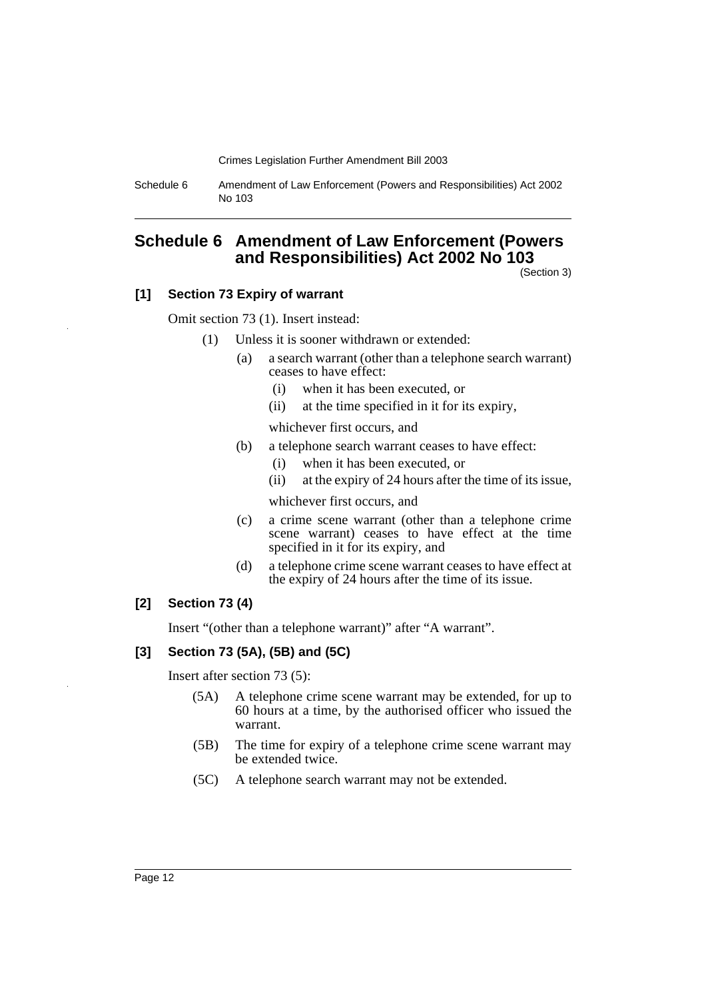Schedule 6 Amendment of Law Enforcement (Powers and Responsibilities) Act 2002 No 103

## **Schedule 6 Amendment of Law Enforcement (Powers and Responsibilities) Act 2002 No 103**

(Section 3)

#### **[1] Section 73 Expiry of warrant**

Omit section 73 (1). Insert instead:

- (1) Unless it is sooner withdrawn or extended:
	- (a) a search warrant (other than a telephone search warrant) ceases to have effect:
		- (i) when it has been executed, or
		- (ii) at the time specified in it for its expiry,

whichever first occurs, and

- (b) a telephone search warrant ceases to have effect:
	- (i) when it has been executed, or
	- (ii) at the expiry of 24 hours after the time of its issue,

whichever first occurs, and

- (c) a crime scene warrant (other than a telephone crime scene warrant) ceases to have effect at the time specified in it for its expiry, and
- (d) a telephone crime scene warrant ceases to have effect at the expiry of 24 hours after the time of its issue.

#### **[2] Section 73 (4)**

Insert "(other than a telephone warrant)" after "A warrant".

#### **[3] Section 73 (5A), (5B) and (5C)**

Insert after section 73 (5):

- (5A) A telephone crime scene warrant may be extended, for up to 60 hours at a time, by the authorised officer who issued the warrant.
- (5B) The time for expiry of a telephone crime scene warrant may be extended twice.
- (5C) A telephone search warrant may not be extended.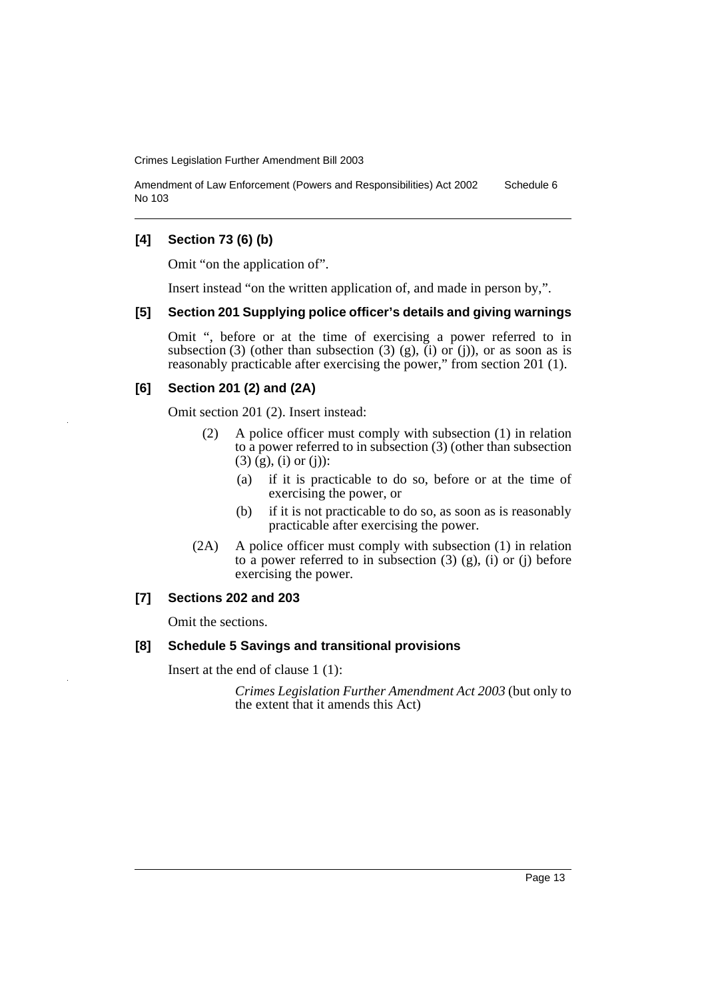Amendment of Law Enforcement (Powers and Responsibilities) Act 2002 No 103 Schedule 6

#### **[4] Section 73 (6) (b)**

Omit "on the application of".

Insert instead "on the written application of, and made in person by,".

#### **[5] Section 201 Supplying police officer's details and giving warnings**

Omit ", before or at the time of exercising a power referred to in subsection (3) (other than subsection (3) (g),  $(i)$  or  $(j)$ ), or as soon as is reasonably practicable after exercising the power," from section 201 (1).

#### **[6] Section 201 (2) and (2A)**

Omit section 201 (2). Insert instead:

- (2) A police officer must comply with subsection (1) in relation to a power referred to in subsection (3) (other than subsection (3) (g), (i) or (j)):
	- (a) if it is practicable to do so, before or at the time of exercising the power, or
	- (b) if it is not practicable to do so, as soon as is reasonably practicable after exercising the power.
- (2A) A police officer must comply with subsection (1) in relation to a power referred to in subsection  $(3)$   $(g)$ ,  $(i)$  or  $(i)$  before exercising the power.

#### **[7] Sections 202 and 203**

Omit the sections.

#### **[8] Schedule 5 Savings and transitional provisions**

Insert at the end of clause 1 (1):

*Crimes Legislation Further Amendment Act 2003* (but only to the extent that it amends this Act)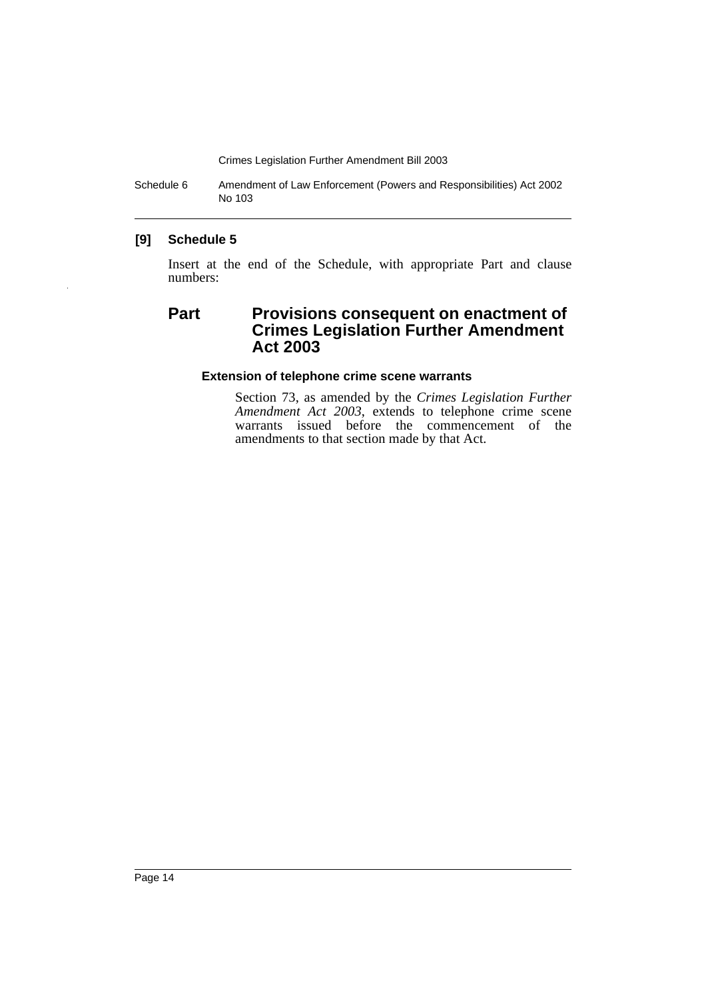Schedule 6 Amendment of Law Enforcement (Powers and Responsibilities) Act 2002 No 103

#### **[9] Schedule 5**

Insert at the end of the Schedule, with appropriate Part and clause numbers:

## **Part Provisions consequent on enactment of Crimes Legislation Further Amendment Act 2003**

#### **Extension of telephone crime scene warrants**

Section 73, as amended by the *Crimes Legislation Further Amendment Act 2003*, extends to telephone crime scene warrants issued before the commencement of the amendments to that section made by that Act.